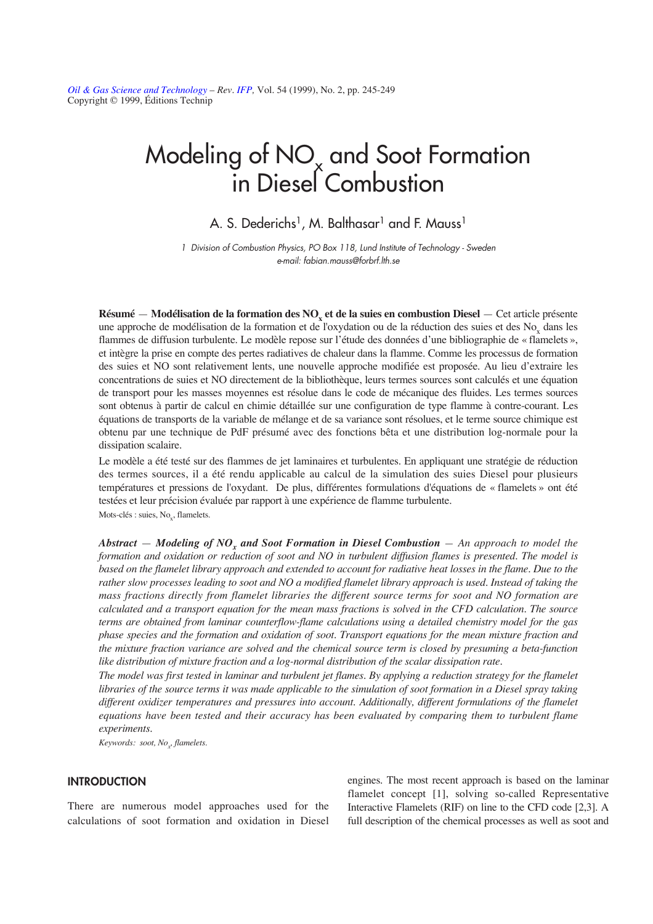*[Oil & Gas Science and Technology](http://ogst.ifp.fr/) – Rev. [IFP,](http://www.ifp.fr/)* Vol. 54 (1999), No. 2, pp. 245-249 Copyright © 1999, Éditions Technip

# Modeling of NO<sub>x</sub> and Soot Formation in Diesel Combustion

A. S. Dederichs<sup>1</sup>, M. Balthasar<sup>1</sup> and F. Mauss<sup>1</sup>

1 Division of Combustion Physics, PO Box 118, Lund Institute of Technology - Sweden e-mail: fabian.mauss@forbrf.lth.se

**Résumé — Modélisation de la formation des NO<sub>x</sub> et de la suies en combustion Diesel — Cet article présente** une approche de modélisation de la formation et de l'oxydation ou de la réduction des suies et des No<sub>y</sub> dans les flammes de diffusion turbulente. Le modèle repose sur l'étude des données d'une bibliographie de « flamelets », et intègre la prise en compte des pertes radiatives de chaleur dans la flamme. Comme les processus de formation des suies et NO sont relativement lents, une nouvelle approche modifiée est proposée. Au lieu d'extraire les concentrations de suies et NO directement de la bibliothèque, leurs termes sources sont calculés et une équation de transport pour les masses moyennes est résolue dans le code de mécanique des fluides. Les termes sources sont obtenus à partir de calcul en chimie détaillée sur une configuration de type flamme à contre-courant. Les équations de transports de la variable de mélange et de sa variance sont résolues, et le terme source chimique est obtenu par une technique de PdF présumé avec des fonctions bêta et une distribution log-normale pour la dissipation scalaire.

Le modèle a été testé sur des flammes de jet laminaires et turbulentes. En appliquant une stratégie de réduction des termes sources, il a été rendu applicable au calcul de la simulation des suies Diesel pour plusieurs températures et pressions de l'oxydant. De plus, différentes formulations d'équations de « flamelets » ont été testées et leur précision évaluée par rapport à une expérience de flamme turbulente. Mots-clés : suies, No<sub>v</sub>, flamelets.

*Abstract* — *Modeling of NOx and Soot Formation in Diesel Combustion — An approach to model the formation and oxidation or reduction of soot and NO in turbulent diffusion flames is presented. The model is based on the flamelet library approach and extended to account for radiative heat losses in the flame. Due to the rather slow processes leading to soot and NO a modified flamelet library approach is used. Instead of taking the mass fractions directly from flamelet libraries the different source terms for soot and NO formation are calculated and a transport equation for the mean mass fractions is solved in the CFD calculation. The source terms are obtained from laminar counterflow-flame calculations using a detailed chemistry model for the gas phase species and the formation and oxidation of soot. Transport equations for the mean mixture fraction and the mixture fraction variance are solved and the chemical source term is closed by presuming a beta-function like distribution of mixture fraction and a log-normal distribution of the scalar dissipation rate.* 

*The model was first tested in laminar and turbulent jet flames. By applying a reduction strategy for the flamelet libraries of the source terms it was made applicable to the simulation of soot formation in a Diesel spray taking different oxidizer temperatures and pressures into account. Additionally, different formulations of the flamelet equations have been tested and their accuracy has been evaluated by comparing them to turbulent flame experiments.*

*Keywords: soot, Nox , flamelets.*

## **INTRODUCTION**

There are numerous model approaches used for the calculations of soot formation and oxidation in Diesel engines. The most recent approach is based on the laminar flamelet concept [1], solving so-called Representative Interactive Flamelets (RIF) on line to the CFD code [2,3]. A full description of the chemical processes as well as soot and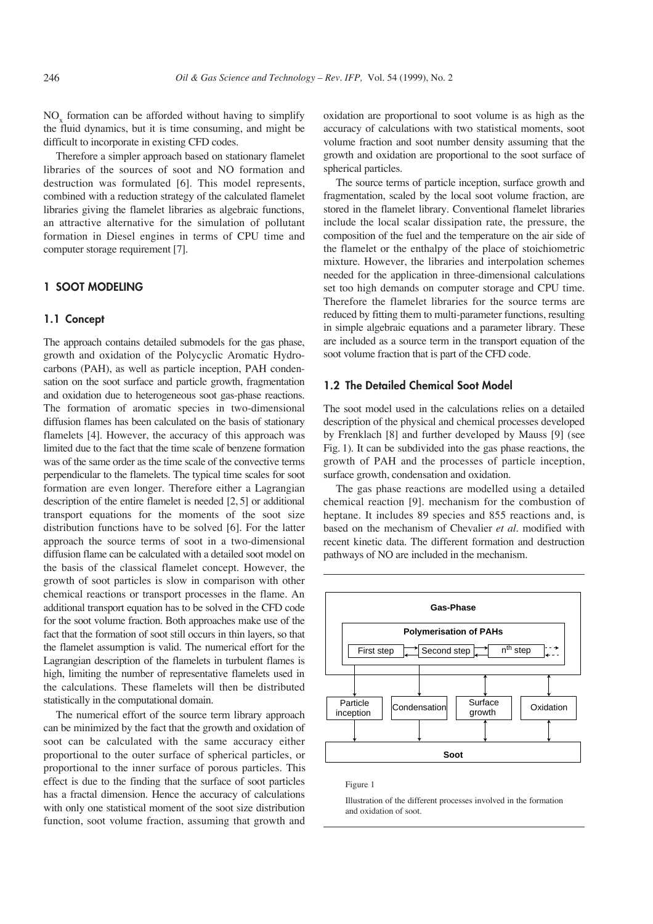NO<sub>y</sub> formation can be afforded without having to simplify the fluid dynamics, but it is time consuming, and might be difficult to incorporate in existing CFD codes.

Therefore a simpler approach based on stationary flamelet libraries of the sources of soot and NO formation and destruction was formulated [6]. This model represents, combined with a reduction strategy of the calculated flamelet libraries giving the flamelet libraries as algebraic functions, an attractive alternative for the simulation of pollutant formation in Diesel engines in terms of CPU time and computer storage requirement [7].

## **1 SOOT MODELING**

#### **1.1 Concept**

The approach contains detailed submodels for the gas phase, growth and oxidation of the Polycyclic Aromatic Hydrocarbons (PAH), as well as particle inception, PAH condensation on the soot surface and particle growth, fragmentation and oxidation due to heterogeneous soot gas-phase reactions. The formation of aromatic species in two-dimensional diffusion flames has been calculated on the basis of stationary flamelets [4]. However, the accuracy of this approach was limited due to the fact that the time scale of benzene formation was of the same order as the time scale of the convective terms perpendicular to the flamelets. The typical time scales for soot formation are even longer. Therefore either a Lagrangian description of the entire flamelet is needed [2, 5] or additional transport equations for the moments of the soot size distribution functions have to be solved [6]. For the latter approach the source terms of soot in a two-dimensional diffusion flame can be calculated with a detailed soot model on the basis of the classical flamelet concept. However, the growth of soot particles is slow in comparison with other chemical reactions or transport processes in the flame. An additional transport equation has to be solved in the CFD code for the soot volume fraction. Both approaches make use of the fact that the formation of soot still occurs in thin layers, so that the flamelet assumption is valid. The numerical effort for the Lagrangian description of the flamelets in turbulent flames is high, limiting the number of representative flamelets used in the calculations. These flamelets will then be distributed statistically in the computational domain.

The numerical effort of the source term library approach can be minimized by the fact that the growth and oxidation of soot can be calculated with the same accuracy either proportional to the outer surface of spherical particles, or proportional to the inner surface of porous particles. This effect is due to the finding that the surface of soot particles has a fractal dimension. Hence the accuracy of calculations with only one statistical moment of the soot size distribution function, soot volume fraction, assuming that growth and

oxidation are proportional to soot volume is as high as the accuracy of calculations with two statistical moments, soot volume fraction and soot number density assuming that the growth and oxidation are proportional to the soot surface of spherical particles.

The source terms of particle inception, surface growth and fragmentation, scaled by the local soot volume fraction, are stored in the flamelet library. Conventional flamelet libraries include the local scalar dissipation rate, the pressure, the composition of the fuel and the temperature on the air side of the flamelet or the enthalpy of the place of stoichiometric mixture. However, the libraries and interpolation schemes needed for the application in three-dimensional calculations set too high demands on computer storage and CPU time. Therefore the flamelet libraries for the source terms are reduced by fitting them to multi-parameter functions, resulting in simple algebraic equations and a parameter library. These are included as a source term in the transport equation of the soot volume fraction that is part of the CFD code.

### **1.2 The Detailed Chemical Soot Model**

The soot model used in the calculations relies on a detailed description of the physical and chemical processes developed by Frenklach [8] and further developed by Mauss [9] (see Fig. 1). It can be subdivided into the gas phase reactions, the growth of PAH and the processes of particle inception, surface growth, condensation and oxidation.

The gas phase reactions are modelled using a detailed chemical reaction [9]. mechanism for the combustion of heptane. It includes 89 species and 855 reactions and, is based on the mechanism of Chevalier *et al.* modified with recent kinetic data. The different formation and destruction pathways of NO are included in the mechanism.



Figure 1

Illustration of the different processes involved in the formation and oxidation of soot.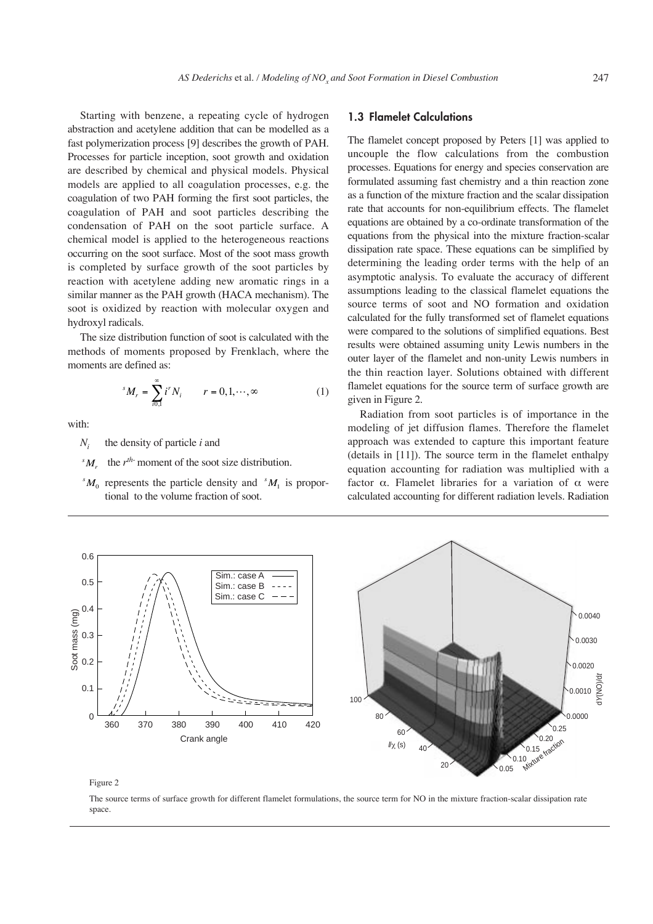Starting with benzene, a repeating cycle of hydrogen abstraction and acetylene addition that can be modelled as a fast polymerization process [9] describes the growth of PAH. Processes for particle inception, soot growth and oxidation are described by chemical and physical models. Physical models are applied to all coagulation processes, e.g. the coagulation of two PAH forming the first soot particles, the coagulation of PAH and soot particles describing the condensation of PAH on the soot particle surface. A chemical model is applied to the heterogeneous reactions occurring on the soot surface. Most of the soot mass growth is completed by surface growth of the soot particles by reaction with acetylene adding new aromatic rings in a similar manner as the PAH growth (HACA mechanism). The soot is oxidized by reaction with molecular oxygen and hydroxyl radicals.

The size distribution function of soot is calculated with the methods of moments proposed by Frenklach, where the moments are defined as:

$$
{}^{s}M_{r} = \sum_{i0,1}^{\infty} i^{r}N_{i} \qquad r = 0, 1, \cdots, \infty
$$
 (1)

with:

*Ni* the density of particle *i* and

the *rth*- moment of the soot size distribution. *s Mr*

 ${}^{s}M_{0}$  represents the particle density and  ${}^{s}M_{1}$  is proportional to the volume fraction of soot.

## **1.3 Flamelet Calculations**

The flamelet concept proposed by Peters [1] was applied to uncouple the flow calculations from the combustion processes. Equations for energy and species conservation are formulated assuming fast chemistry and a thin reaction zone as a function of the mixture fraction and the scalar dissipation rate that accounts for non-equilibrium effects. The flamelet equations are obtained by a co-ordinate transformation of the equations from the physical into the mixture fraction-scalar dissipation rate space. These equations can be simplified by determining the leading order terms with the help of an asymptotic analysis. To evaluate the accuracy of different assumptions leading to the classical flamelet equations the source terms of soot and NO formation and oxidation calculated for the fully transformed set of flamelet equations were compared to the solutions of simplified equations. Best results were obtained assuming unity Lewis numbers in the outer layer of the flamelet and non-unity Lewis numbers in the thin reaction layer. Solutions obtained with different flamelet equations for the source term of surface growth are given in Figure 2.

Radiation from soot particles is of importance in the modeling of jet diffusion flames. Therefore the flamelet approach was extended to capture this important feature (details in [11]). The source term in the flamelet enthalpy equation accounting for radiation was multiplied with a factor  $\alpha$ . Flamelet libraries for a variation of  $\alpha$  were calculated accounting for different radiation levels. Radiation



Figure 2

The source terms of surface growth for different flamelet formulations, the source term for NO in the mixture fraction-scalar dissipation rate space.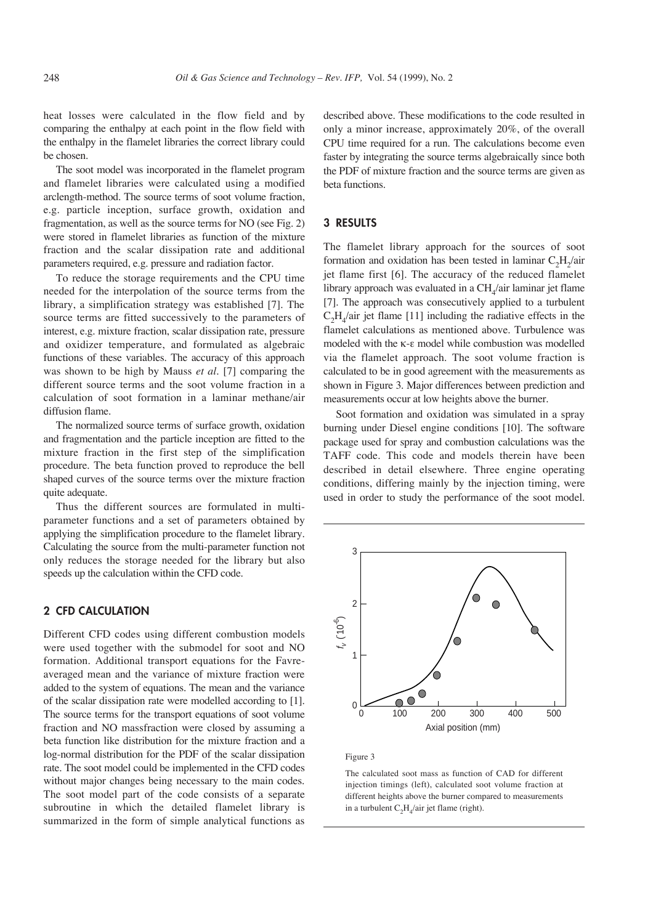heat losses were calculated in the flow field and by comparing the enthalpy at each point in the flow field with the enthalpy in the flamelet libraries the correct library could be chosen.

The soot model was incorporated in the flamelet program and flamelet libraries were calculated using a modified arclength-method. The source terms of soot volume fraction, e.g. particle inception, surface growth, oxidation and fragmentation, as well as the source terms for NO (see Fig. 2) were stored in flamelet libraries as function of the mixture fraction and the scalar dissipation rate and additional parameters required, e.g. pressure and radiation factor.

To reduce the storage requirements and the CPU time needed for the interpolation of the source terms from the library, a simplification strategy was established [7]. The source terms are fitted successively to the parameters of interest, e.g. mixture fraction, scalar dissipation rate, pressure and oxidizer temperature, and formulated as algebraic functions of these variables. The accuracy of this approach was shown to be high by Mauss *et al.* [7] comparing the different source terms and the soot volume fraction in a calculation of soot formation in a laminar methane/air diffusion flame.

The normalized source terms of surface growth, oxidation and fragmentation and the particle inception are fitted to the mixture fraction in the first step of the simplification procedure. The beta function proved to reproduce the bell shaped curves of the source terms over the mixture fraction quite adequate.

Thus the different sources are formulated in multiparameter functions and a set of parameters obtained by applying the simplification procedure to the flamelet library. Calculating the source from the multi-parameter function not only reduces the storage needed for the library but also speeds up the calculation within the CFD code.

# **2 CFD CALCULATION**

Different CFD codes using different combustion models were used together with the submodel for soot and NO formation. Additional transport equations for the Favreaveraged mean and the variance of mixture fraction were added to the system of equations. The mean and the variance of the scalar dissipation rate were modelled according to [1]. The source terms for the transport equations of soot volume fraction and NO massfraction were closed by assuming a beta function like distribution for the mixture fraction and a log-normal distribution for the PDF of the scalar dissipation rate. The soot model could be implemented in the CFD codes without major changes being necessary to the main codes. The soot model part of the code consists of a separate subroutine in which the detailed flamelet library is summarized in the form of simple analytical functions as described above. These modifications to the code resulted in only a minor increase, approximately 20%, of the overall CPU time required for a run. The calculations become even faster by integrating the source terms algebraically since both the PDF of mixture fraction and the source terms are given as beta functions.

## **3 RESULTS**

The flamelet library approach for the sources of soot formation and oxidation has been tested in laminar  $C<sub>2</sub>H<sub>2</sub>/air$ jet flame first [6]. The accuracy of the reduced flamelet library approach was evaluated in a  $CH<sub>4</sub>/air$  laminar jet flame [7]. The approach was consecutively applied to a turbulent  $C_2H_4$ /air jet flame [11] including the radiative effects in the flamelet calculations as mentioned above. Turbulence was modeled with the  $\kappa$ - $\varepsilon$  model while combustion was modelled via the flamelet approach. The soot volume fraction is calculated to be in good agreement with the measurements as shown in Figure 3. Major differences between prediction and measurements occur at low heights above the burner.

Soot formation and oxidation was simulated in a spray burning under Diesel engine conditions [10]. The software package used for spray and combustion calculations was the TAFF code. This code and models therein have been described in detail elsewhere. Three engine operating conditions, differing mainly by the injection timing, were used in order to study the performance of the soot model.



Figure 3

The calculated soot mass as function of CAD for different injection timings (left), calculated soot volume fraction at different heights above the burner compared to measurements in a turbulent  $C_2H_4$ /air jet flame (right).